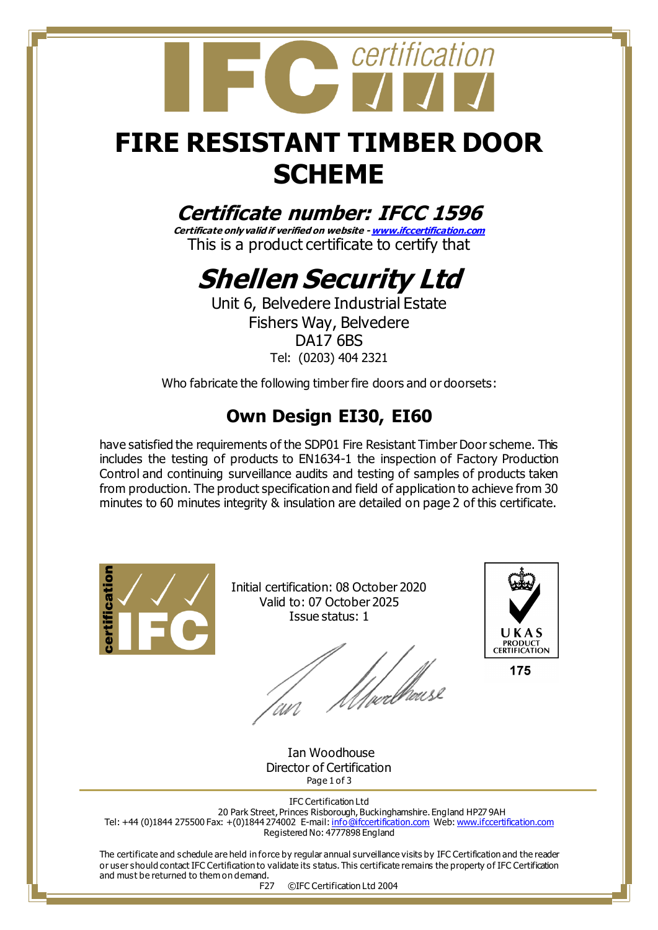

## **FIRE RESISTANT TIMBER DOOR SCHEME**

## **Certificate number: IFCC 1596**

**Certificate only valid if verified on website - [www.ifccertification.com](http://www.ifccertification.com/)** This is a product certificate to certify that

# **Shellen Security Ltd**

Unit 6, Belvedere Industrial Estate Fishers Way, Belvedere DA17 6BS Tel: (0203) 404 2321

Who fabricate the following timber fire doors and or doorsets:

## **Own Design EI30, EI60**

have satisfied the requirements of the SDP01 Fire Resistant Timber Door scheme. This includes the testing of products to EN1634-1 the inspection of Factory Production Control and continuing surveillance audits and testing of samples of products taken from production. The product specification and field of application to achieve from 30 minutes to 60 minutes integrity & insulation are detailed on page 2 of this certificate.



Initial certification: 08 October 2020 Valid to: 07 October 2025 Issue status: 1

l<br>/µecllicus



175

 Ian Woodhouse Director of Certification Page 1 of 3

IFC Certification Ltd 20 Park Street, Princes Risborough, Buckinghamshire. England HP27 9AH Tel: +44 (0)1844 275500 Fax: +(0)1844 274002 E-mail[: info@ifccertification.com](mailto:info@ifccertification.com) Web[: www.ifccertification.com](http://www.ifccertification.com/) Registered No: 4777898 England

The certificate and schedule are held in force by regular annual surveillance visits by IFC Certification and the reader or user should contact IFC Certification to validate its status. This certificate remains the property of IFC Certification and must be returned to them on demand.

F27 ©IFC Certification Ltd 2004